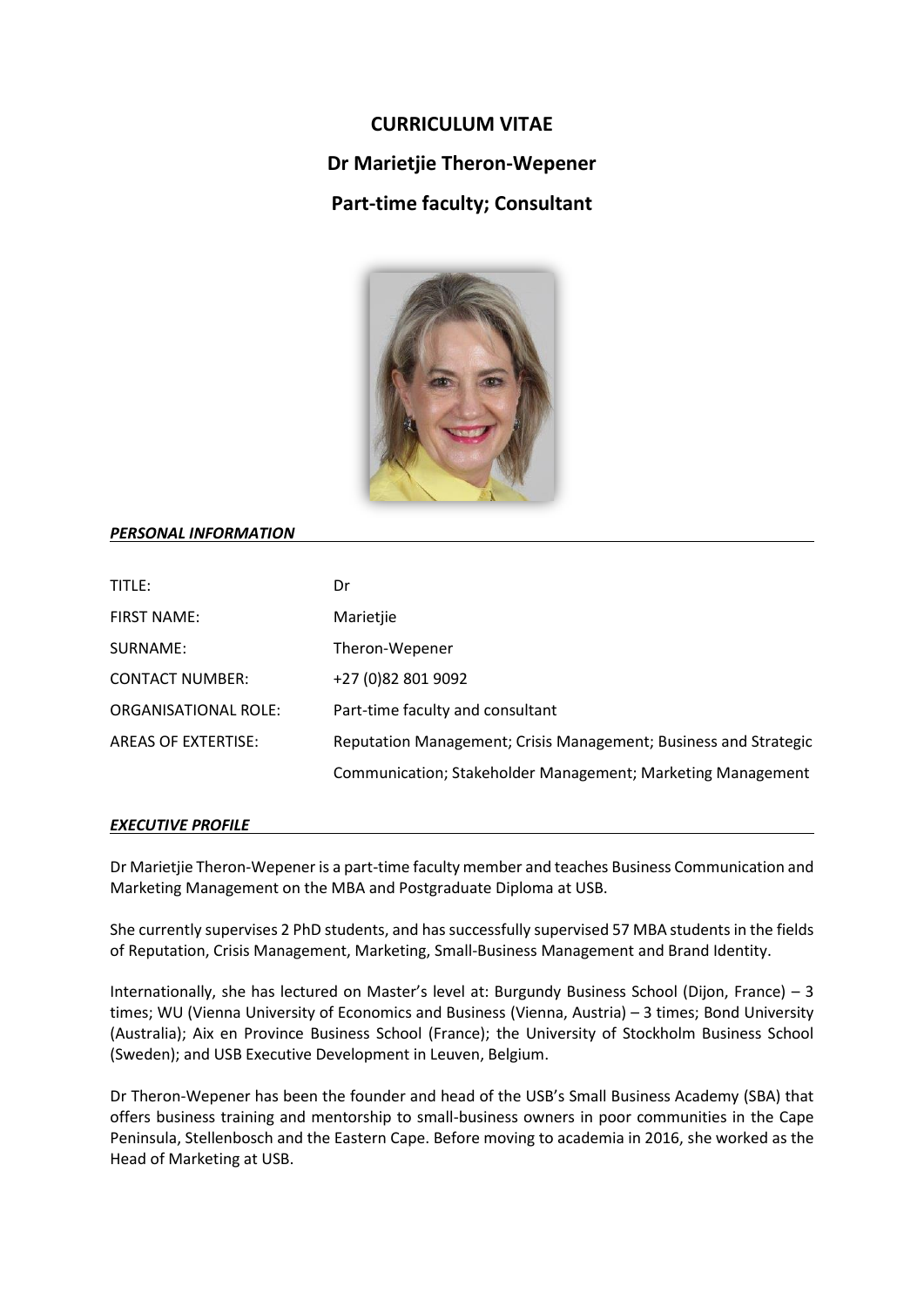# **CURRICULUM VITAE Dr Marietjie Theron-Wepener Part-time faculty; Consultant**



# *PERSONAL INFORMATION*

| TITLE:                      | Dr                                                               |
|-----------------------------|------------------------------------------------------------------|
| <b>FIRST NAME:</b>          | Marietjie                                                        |
| SURNAME:                    | Theron-Wepener                                                   |
| <b>CONTACT NUMBER:</b>      | +27 (0)82 801 9092                                               |
| <b>ORGANISATIONAL ROLE:</b> | Part-time faculty and consultant                                 |
| <b>AREAS OF EXTERTISE:</b>  | Reputation Management; Crisis Management; Business and Strategic |
|                             | Communication; Stakeholder Management; Marketing Management      |

### *EXECUTIVE PROFILE*

Dr Marietjie Theron-Wepener is a part-time faculty member and teaches Business Communication and Marketing Management on the MBA and Postgraduate Diploma at USB.

She currently supervises 2 PhD students, and has successfully supervised 57 MBA students in the fields of Reputation, Crisis Management, Marketing, Small-Business Management and Brand Identity.

Internationally, she has lectured on Master's level at: Burgundy Business School (Dijon, France) – 3 times; WU (Vienna University of Economics and Business (Vienna, Austria) – 3 times; Bond University (Australia); Aix en Province Business School (France); the University of Stockholm Business School (Sweden); and USB Executive Development in Leuven, Belgium.

Dr Theron-Wepener has been the founder and head of the USB's Small Business Academy (SBA) that offers business training and mentorship to small-business owners in poor communities in the Cape Peninsula, Stellenbosch and the Eastern Cape. Before moving to academia in 2016, she worked as the Head of Marketing at USB.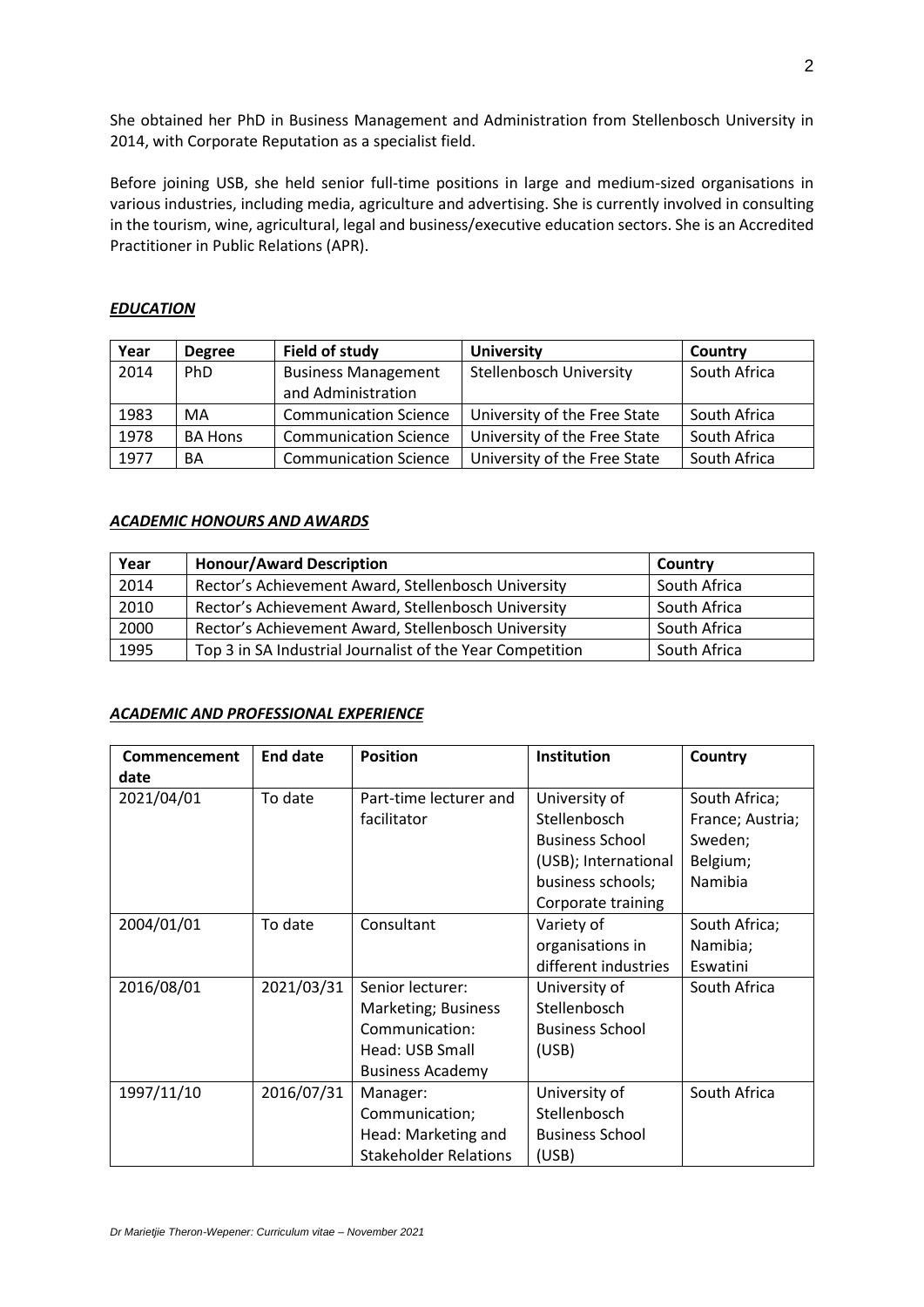She obtained her PhD in Business Management and Administration from Stellenbosch University in 2014, with Corporate Reputation as a specialist field.

Before joining USB, she held senior full-time positions in large and medium-sized organisations in various industries, including media, agriculture and advertising. She is currently involved in consulting in the tourism, wine, agricultural, legal and business/executive education sectors. She is an Accredited Practitioner in Public Relations (APR).

# *EDUCATION*

| Year | <b>Degree</b>  | <b>Field of study</b>        | <b>University</b>              | Country      |
|------|----------------|------------------------------|--------------------------------|--------------|
| 2014 | <b>PhD</b>     | <b>Business Management</b>   | <b>Stellenbosch University</b> | South Africa |
|      |                | and Administration           |                                |              |
| 1983 | MA             | <b>Communication Science</b> | University of the Free State   | South Africa |
| 1978 | <b>BA Hons</b> | <b>Communication Science</b> | University of the Free State   | South Africa |
| 1977 | BA             | <b>Communication Science</b> | University of the Free State   | South Africa |

# *ACADEMIC HONOURS AND AWARDS*

| Year | <b>Honour/Award Description</b>                           | Country      |
|------|-----------------------------------------------------------|--------------|
| 2014 | Rector's Achievement Award, Stellenbosch University       | South Africa |
| 2010 | Rector's Achievement Award, Stellenbosch University       | South Africa |
| 2000 | Rector's Achievement Award, Stellenbosch University       | South Africa |
| 1995 | Top 3 in SA Industrial Journalist of the Year Competition | South Africa |

### *ACADEMIC AND PROFESSIONAL EXPERIENCE*

| Commencement<br>date | <b>End date</b> | <b>Position</b>              | Institution            | Country          |
|----------------------|-----------------|------------------------------|------------------------|------------------|
| 2021/04/01           | To date         | Part-time lecturer and       | University of          | South Africa;    |
|                      |                 | facilitator                  | Stellenbosch           | France; Austria; |
|                      |                 |                              | <b>Business School</b> | Sweden;          |
|                      |                 |                              | (USB); International   | Belgium;         |
|                      |                 |                              | business schools;      | Namibia          |
|                      |                 |                              | Corporate training     |                  |
| 2004/01/01           | To date         | Consultant                   | Variety of             | South Africa;    |
|                      |                 |                              | organisations in       | Namibia;         |
|                      |                 |                              | different industries   | Eswatini         |
| 2016/08/01           | 2021/03/31      | Senior lecturer:             | University of          | South Africa     |
|                      |                 | Marketing; Business          | Stellenbosch           |                  |
|                      |                 | Communication:               | <b>Business School</b> |                  |
|                      |                 | Head: USB Small              | (USB)                  |                  |
|                      |                 | <b>Business Academy</b>      |                        |                  |
| 1997/11/10           | 2016/07/31      | Manager:                     | University of          | South Africa     |
|                      |                 | Communication;               | Stellenbosch           |                  |
|                      |                 | Head: Marketing and          | <b>Business School</b> |                  |
|                      |                 | <b>Stakeholder Relations</b> | (USB)                  |                  |